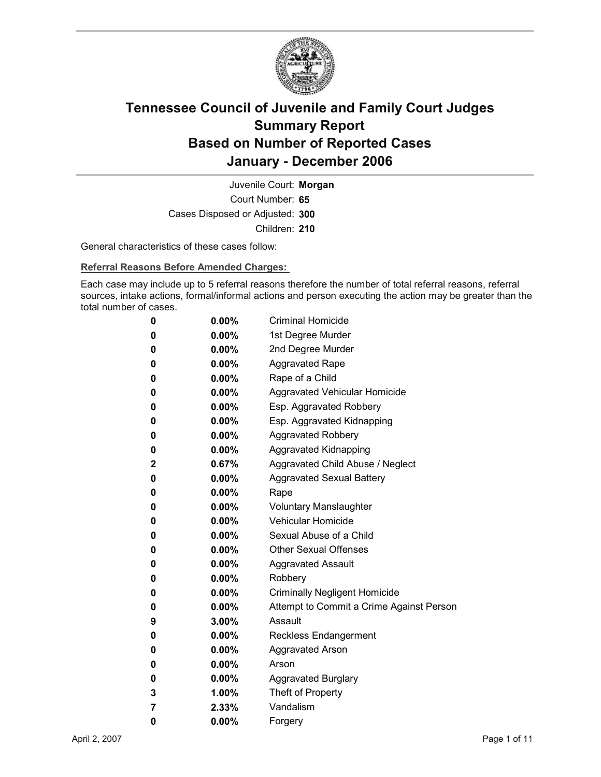

Court Number: **65** Juvenile Court: **Morgan** Cases Disposed or Adjusted: **300** Children: **210**

General characteristics of these cases follow:

**Referral Reasons Before Amended Charges:** 

Each case may include up to 5 referral reasons therefore the number of total referral reasons, referral sources, intake actions, formal/informal actions and person executing the action may be greater than the total number of cases.

| 0 | $0.00\%$ | <b>Criminal Homicide</b>                 |
|---|----------|------------------------------------------|
| 0 | 0.00%    | 1st Degree Murder                        |
| 0 | $0.00\%$ | 2nd Degree Murder                        |
| 0 | $0.00\%$ | <b>Aggravated Rape</b>                   |
| 0 | $0.00\%$ | Rape of a Child                          |
| 0 | 0.00%    | Aggravated Vehicular Homicide            |
| 0 | $0.00\%$ | Esp. Aggravated Robbery                  |
| 0 | $0.00\%$ | Esp. Aggravated Kidnapping               |
| 0 | 0.00%    | <b>Aggravated Robbery</b>                |
| 0 | $0.00\%$ | <b>Aggravated Kidnapping</b>             |
| 2 | 0.67%    | Aggravated Child Abuse / Neglect         |
| 0 | $0.00\%$ | <b>Aggravated Sexual Battery</b>         |
| 0 | $0.00\%$ | Rape                                     |
| 0 | $0.00\%$ | <b>Voluntary Manslaughter</b>            |
| 0 | $0.00\%$ | Vehicular Homicide                       |
| 0 | $0.00\%$ | Sexual Abuse of a Child                  |
| 0 | $0.00\%$ | <b>Other Sexual Offenses</b>             |
| 0 | $0.00\%$ | <b>Aggravated Assault</b>                |
| 0 | 0.00%    | Robbery                                  |
| 0 | $0.00\%$ | <b>Criminally Negligent Homicide</b>     |
| 0 | $0.00\%$ | Attempt to Commit a Crime Against Person |
| 9 | $3.00\%$ | Assault                                  |
| 0 | $0.00\%$ | <b>Reckless Endangerment</b>             |
| 0 | $0.00\%$ | <b>Aggravated Arson</b>                  |
| 0 | $0.00\%$ | Arson                                    |
| 0 | 0.00%    | <b>Aggravated Burglary</b>               |
| 3 | 1.00%    | Theft of Property                        |
| 7 | 2.33%    | Vandalism                                |
| 0 | 0.00%    | Forgery                                  |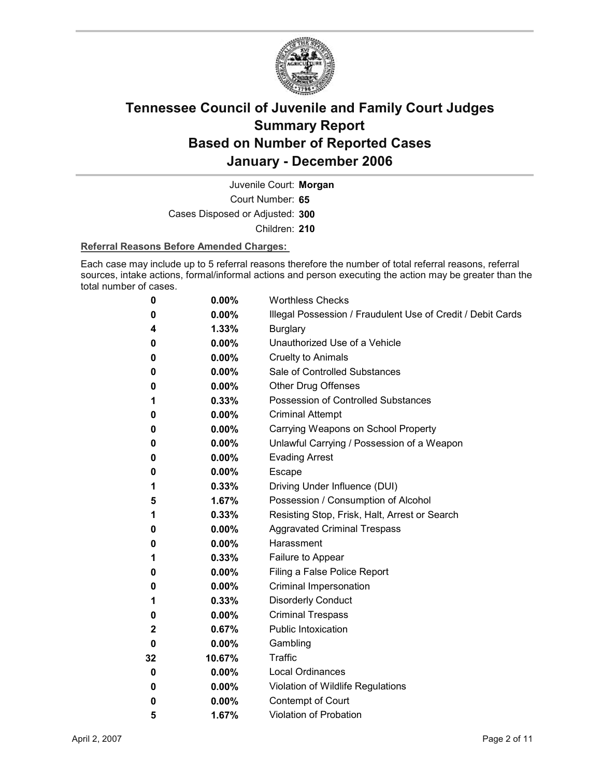

Court Number: **65** Juvenile Court: **Morgan** Cases Disposed or Adjusted: **300** Children: **210**

#### **Referral Reasons Before Amended Charges:**

Each case may include up to 5 referral reasons therefore the number of total referral reasons, referral sources, intake actions, formal/informal actions and person executing the action may be greater than the total number of cases.

| 0  | 0.00%    | <b>Worthless Checks</b>                                     |
|----|----------|-------------------------------------------------------------|
| 0  | $0.00\%$ | Illegal Possession / Fraudulent Use of Credit / Debit Cards |
| 4  | 1.33%    | <b>Burglary</b>                                             |
| 0  | $0.00\%$ | Unauthorized Use of a Vehicle                               |
| 0  | $0.00\%$ | <b>Cruelty to Animals</b>                                   |
| 0  | $0.00\%$ | Sale of Controlled Substances                               |
| 0  | $0.00\%$ | <b>Other Drug Offenses</b>                                  |
| 1  | 0.33%    | Possession of Controlled Substances                         |
| 0  | $0.00\%$ | <b>Criminal Attempt</b>                                     |
| 0  | $0.00\%$ | Carrying Weapons on School Property                         |
| 0  | $0.00\%$ | Unlawful Carrying / Possession of a Weapon                  |
| 0  | $0.00\%$ | <b>Evading Arrest</b>                                       |
| 0  | $0.00\%$ | Escape                                                      |
| 1  | $0.33\%$ | Driving Under Influence (DUI)                               |
| 5  | 1.67%    | Possession / Consumption of Alcohol                         |
| 1  | 0.33%    | Resisting Stop, Frisk, Halt, Arrest or Search               |
| 0  | $0.00\%$ | <b>Aggravated Criminal Trespass</b>                         |
| 0  | $0.00\%$ | Harassment                                                  |
| 1  | 0.33%    | Failure to Appear                                           |
| 0  | $0.00\%$ | Filing a False Police Report                                |
| 0  | $0.00\%$ | Criminal Impersonation                                      |
| 1  | 0.33%    | <b>Disorderly Conduct</b>                                   |
| 0  | 0.00%    | <b>Criminal Trespass</b>                                    |
| 2  | 0.67%    | <b>Public Intoxication</b>                                  |
| 0  | $0.00\%$ | Gambling                                                    |
| 32 | 10.67%   | Traffic                                                     |
| 0  | $0.00\%$ | <b>Local Ordinances</b>                                     |
| 0  | $0.00\%$ | Violation of Wildlife Regulations                           |
| 0  | $0.00\%$ | Contempt of Court                                           |
| 5  | 1.67%    | <b>Violation of Probation</b>                               |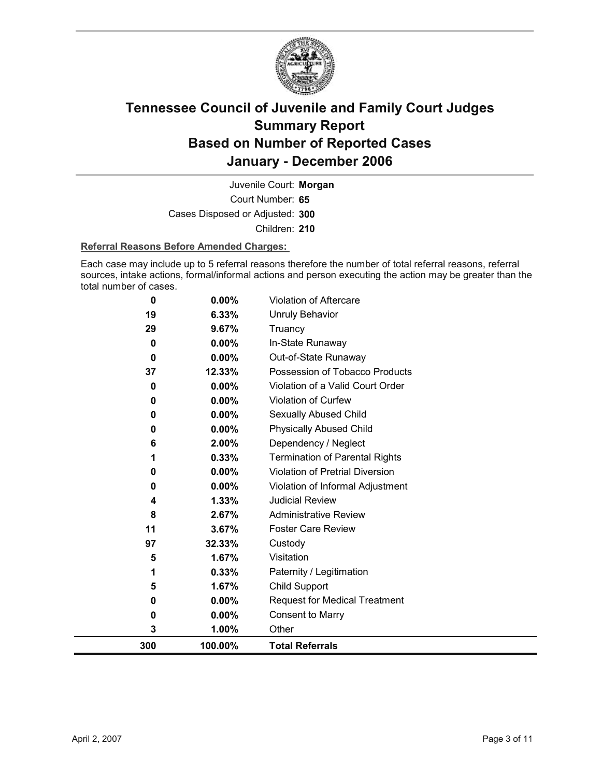

Court Number: **65** Juvenile Court: **Morgan** Cases Disposed or Adjusted: **300** Children: **210**

#### **Referral Reasons Before Amended Charges:**

Each case may include up to 5 referral reasons therefore the number of total referral reasons, referral sources, intake actions, formal/informal actions and person executing the action may be greater than the total number of cases.

| 0   | 0.00%    | Violation of Aftercare                 |
|-----|----------|----------------------------------------|
| 19  | 6.33%    | <b>Unruly Behavior</b>                 |
| 29  | 9.67%    | Truancy                                |
| 0   | $0.00\%$ | In-State Runaway                       |
| 0   | $0.00\%$ | Out-of-State Runaway                   |
| 37  | 12.33%   | Possession of Tobacco Products         |
| 0   | 0.00%    | Violation of a Valid Court Order       |
| 0   | 0.00%    | <b>Violation of Curfew</b>             |
| 0   | 0.00%    | Sexually Abused Child                  |
| 0   | $0.00\%$ | <b>Physically Abused Child</b>         |
| 6   | 2.00%    | Dependency / Neglect                   |
|     | 0.33%    | <b>Termination of Parental Rights</b>  |
| 0   | 0.00%    | <b>Violation of Pretrial Diversion</b> |
| 0   | 0.00%    | Violation of Informal Adjustment       |
| 4   | 1.33%    | <b>Judicial Review</b>                 |
| 8   | 2.67%    | <b>Administrative Review</b>           |
| 11  | 3.67%    | <b>Foster Care Review</b>              |
| 97  | 32.33%   | Custody                                |
| 5   | 1.67%    | Visitation                             |
| 1   | 0.33%    | Paternity / Legitimation               |
| 5   | 1.67%    | Child Support                          |
| 0   | $0.00\%$ | <b>Request for Medical Treatment</b>   |
| 0   | 0.00%    | <b>Consent to Marry</b>                |
| 3   | 1.00%    | Other                                  |
| 300 | 100.00%  | <b>Total Referrals</b>                 |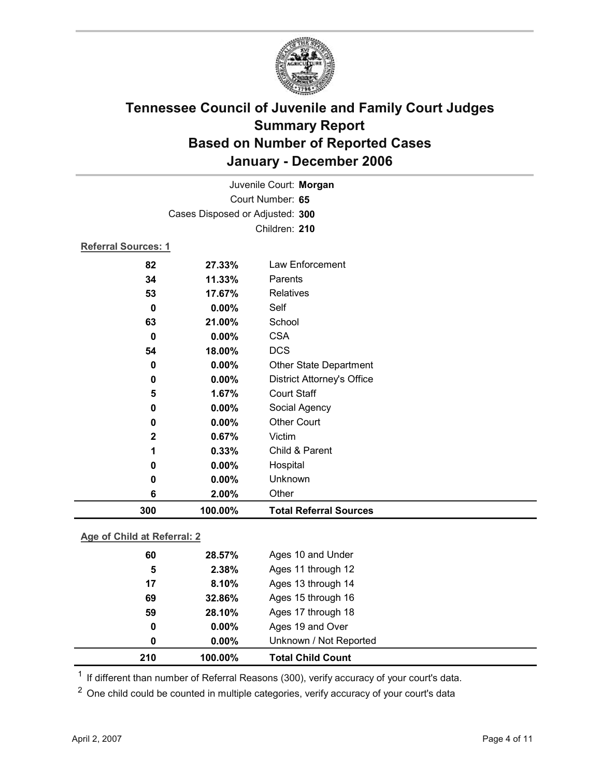

| Juvenile Court: Morgan          |         |                                   |  |  |  |
|---------------------------------|---------|-----------------------------------|--|--|--|
| Court Number: 65                |         |                                   |  |  |  |
| Cases Disposed or Adjusted: 300 |         |                                   |  |  |  |
|                                 |         | Children: 210                     |  |  |  |
| <b>Referral Sources: 1</b>      |         |                                   |  |  |  |
| 82                              | 27.33%  | Law Enforcement                   |  |  |  |
| 34                              | 11.33%  | Parents                           |  |  |  |
| 53                              | 17.67%  | Relatives                         |  |  |  |
| $\mathbf 0$                     | 0.00%   | Self                              |  |  |  |
| 63                              | 21.00%  | School                            |  |  |  |
| 0                               | 0.00%   | <b>CSA</b>                        |  |  |  |
| 54                              | 18.00%  | <b>DCS</b>                        |  |  |  |
| $\bf{0}$                        | 0.00%   | <b>Other State Department</b>     |  |  |  |
| 0                               | 0.00%   | <b>District Attorney's Office</b> |  |  |  |
| 5                               | 1.67%   | <b>Court Staff</b>                |  |  |  |
| $\mathbf 0$                     | 0.00%   | Social Agency                     |  |  |  |
| 0                               | 0.00%   | <b>Other Court</b>                |  |  |  |
| $\mathbf 2$                     | 0.67%   | Victim                            |  |  |  |
| 1                               | 0.33%   | Child & Parent                    |  |  |  |
| 0                               | 0.00%   | Hospital                          |  |  |  |
| 0                               | 0.00%   | Unknown                           |  |  |  |
| 6                               | 2.00%   | Other                             |  |  |  |
| 300                             | 100.00% | <b>Total Referral Sources</b>     |  |  |  |
| Age of Child at Referral: 2     |         |                                   |  |  |  |
|                                 |         |                                   |  |  |  |
| 60                              | 28.57%  | Ages 10 and Under                 |  |  |  |
| 5                               | 2.38%   | Ages 11 through 12                |  |  |  |
| 17                              | 8.10%   | Ages 13 through 14                |  |  |  |
| 69                              | 32.86%  | Ages 15 through 16                |  |  |  |

| 210 | $100.00\%$ | <b>Total Child Count</b> |  |
|-----|------------|--------------------------|--|
|     | $0.00\%$   | Unknown / Not Reported   |  |
| 0   | $0.00\%$   | Ages 19 and Over         |  |
| 59  | 28.10%     | Ages 17 through 18       |  |

<sup>1</sup> If different than number of Referral Reasons (300), verify accuracy of your court's data.

<sup>2</sup> One child could be counted in multiple categories, verify accuracy of your court's data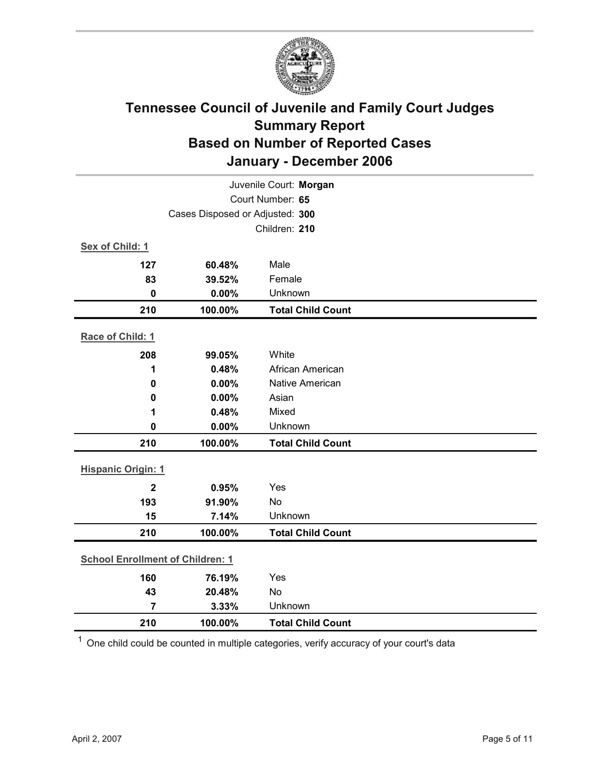

| Juvenile Court: Morgan                  |         |                          |  |
|-----------------------------------------|---------|--------------------------|--|
| Court Number: 65                        |         |                          |  |
| Cases Disposed or Adjusted: 300         |         |                          |  |
|                                         |         | Children: 210            |  |
| Sex of Child: 1                         |         |                          |  |
| 127                                     | 60.48%  | Male                     |  |
| 83                                      | 39.52%  | Female                   |  |
| $\mathbf 0$                             | 0.00%   | Unknown                  |  |
| 210                                     | 100.00% | <b>Total Child Count</b> |  |
| Race of Child: 1                        |         |                          |  |
| 208                                     | 99.05%  | White                    |  |
| 1                                       | 0.48%   | African American         |  |
| $\mathbf 0$                             | 0.00%   | Native American          |  |
| 0.00%<br>$\mathbf 0$                    |         | Asian                    |  |
| 1                                       | 0.48%   | Mixed                    |  |
| $\mathbf 0$                             | 0.00%   | Unknown                  |  |
| 210                                     | 100.00% | <b>Total Child Count</b> |  |
| <b>Hispanic Origin: 1</b>               |         |                          |  |
| $\overline{2}$                          | 0.95%   | Yes                      |  |
| 193                                     | 91.90%  | <b>No</b>                |  |
| 15                                      | 7.14%   | Unknown                  |  |
| 210                                     | 100.00% | <b>Total Child Count</b> |  |
| <b>School Enrollment of Children: 1</b> |         |                          |  |
| 160                                     | 76.19%  | Yes                      |  |
| 43                                      | 20.48%  | No                       |  |
| $\overline{7}$                          | 3.33%   | Unknown                  |  |
| 210                                     | 100.00% | <b>Total Child Count</b> |  |

 $1$  One child could be counted in multiple categories, verify accuracy of your court's data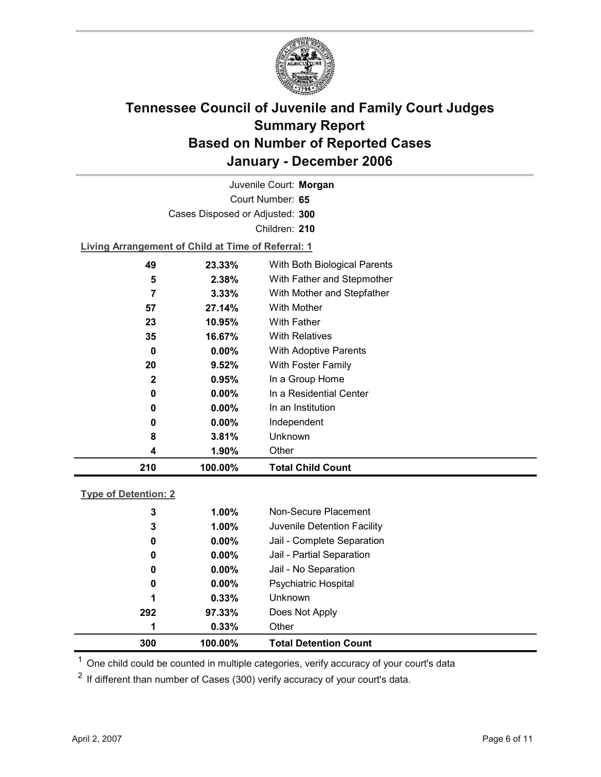

Court Number: **65** Juvenile Court: **Morgan** Cases Disposed or Adjusted: **300** Children: **210**

**Living Arrangement of Child at Time of Referral: 1**

| 210          | 100.00%  | <b>Total Child Count</b>     |
|--------------|----------|------------------------------|
| 4            | 1.90%    | Other                        |
| 8            | 3.81%    | Unknown                      |
| 0            | $0.00\%$ | Independent                  |
| 0            | $0.00\%$ | In an Institution            |
| 0            | $0.00\%$ | In a Residential Center      |
| $\mathbf{2}$ | 0.95%    | In a Group Home              |
| 20           | 9.52%    | With Foster Family           |
| 0            | $0.00\%$ | With Adoptive Parents        |
| 35           | 16.67%   | <b>With Relatives</b>        |
| 23           | 10.95%   | <b>With Father</b>           |
| 57           | 27.14%   | With Mother                  |
| 7            | 3.33%    | With Mother and Stepfather   |
| 5            | 2.38%    | With Father and Stepmother   |
| 49           | 23.33%   | With Both Biological Parents |
|              |          |                              |

### **Type of Detention: 2**

| 300 | 100.00%  | <b>Total Detention Count</b> |
|-----|----------|------------------------------|
| 1   | 0.33%    | Other                        |
| 292 | 97.33%   | Does Not Apply               |
| 1   | 0.33%    | <b>Unknown</b>               |
| 0   | $0.00\%$ | <b>Psychiatric Hospital</b>  |
| 0   | $0.00\%$ | Jail - No Separation         |
| 0   | $0.00\%$ | Jail - Partial Separation    |
| 0   | $0.00\%$ | Jail - Complete Separation   |
| 3   | 1.00%    | Juvenile Detention Facility  |
| 3   | 1.00%    | Non-Secure Placement         |
|     |          |                              |

 $<sup>1</sup>$  One child could be counted in multiple categories, verify accuracy of your court's data</sup>

 $2$  If different than number of Cases (300) verify accuracy of your court's data.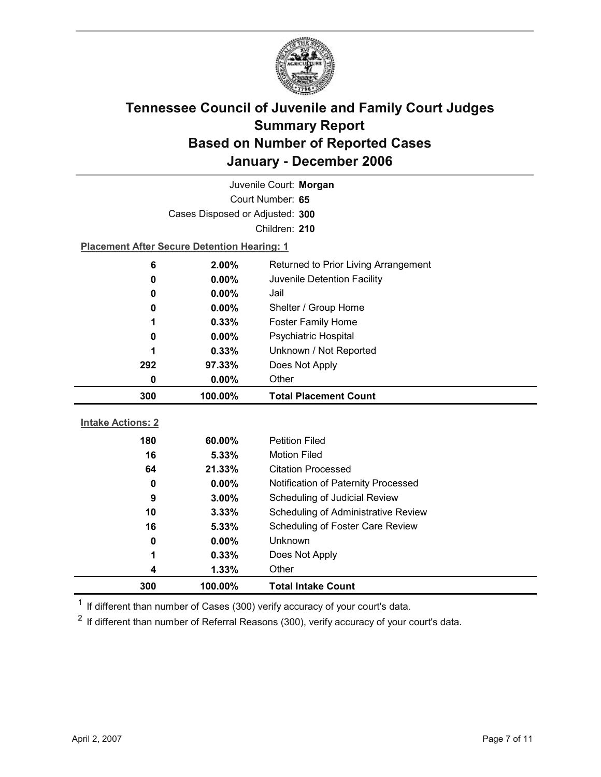

| Juvenile Court: Morgan   |                                                    |                                     |  |  |
|--------------------------|----------------------------------------------------|-------------------------------------|--|--|
|                          | Court Number: 65                                   |                                     |  |  |
|                          | Cases Disposed or Adjusted: 300                    |                                     |  |  |
|                          |                                                    | Children: 210                       |  |  |
|                          | <b>Placement After Secure Detention Hearing: 1</b> |                                     |  |  |
| 6                        | 2.00%<br>Returned to Prior Living Arrangement      |                                     |  |  |
| 0                        | $0.00\%$                                           | Juvenile Detention Facility         |  |  |
| 0                        | $0.00\%$                                           | Jail                                |  |  |
| 0                        | $0.00\%$                                           | Shelter / Group Home                |  |  |
| 1                        | 0.33%                                              | <b>Foster Family Home</b>           |  |  |
| 0                        | $0.00\%$                                           | <b>Psychiatric Hospital</b>         |  |  |
| 1                        | Unknown / Not Reported<br>0.33%                    |                                     |  |  |
| 292                      | Does Not Apply<br>97.33%                           |                                     |  |  |
| 0                        | 0.00%<br>Other                                     |                                     |  |  |
|                          |                                                    |                                     |  |  |
| 300                      | 100.00%                                            | <b>Total Placement Count</b>        |  |  |
|                          |                                                    |                                     |  |  |
| <b>Intake Actions: 2</b> |                                                    |                                     |  |  |
| 180                      | 60.00%                                             | <b>Petition Filed</b>               |  |  |
| 16                       | 5.33%                                              | <b>Motion Filed</b>                 |  |  |
| 64                       | 21.33%                                             | <b>Citation Processed</b>           |  |  |
| 0                        | 0.00%                                              | Notification of Paternity Processed |  |  |
| 9                        | $3.00\%$                                           | Scheduling of Judicial Review       |  |  |
| 10                       | 3.33%                                              | Scheduling of Administrative Review |  |  |
| 16                       | 5.33%                                              | Scheduling of Foster Care Review    |  |  |
| 0                        | $0.00\%$                                           | Unknown                             |  |  |
| 1                        | 0.33%                                              | Does Not Apply                      |  |  |
| 4<br>300                 | 1.33%<br>100.00%                                   | Other<br><b>Total Intake Count</b>  |  |  |

 $1$  If different than number of Cases (300) verify accuracy of your court's data.

 $2$  If different than number of Referral Reasons (300), verify accuracy of your court's data.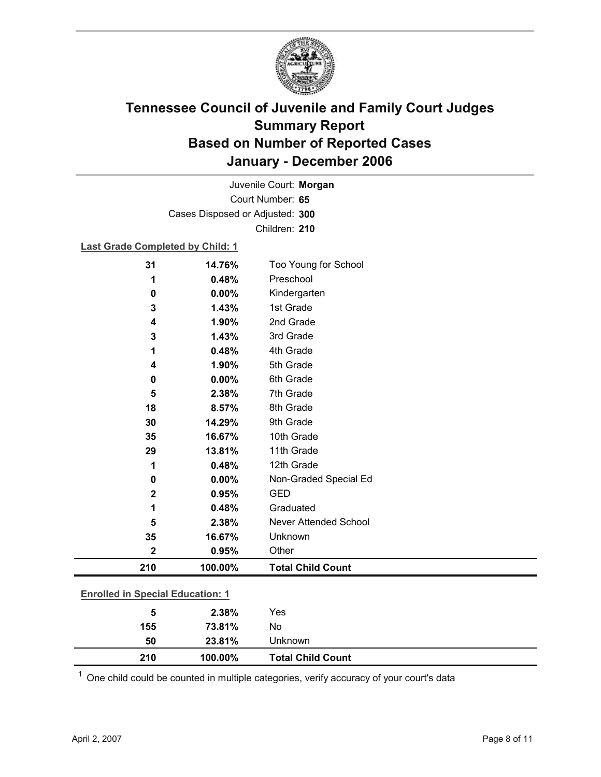

Court Number: **65** Juvenile Court: **Morgan** Cases Disposed or Adjusted: **300** Children: **210**

### **Last Grade Completed by Child: 1**

| 31                                      | 14.76%  | Too Young for School         |  |
|-----------------------------------------|---------|------------------------------|--|
| 1                                       | 0.48%   | Preschool                    |  |
| 0                                       | 0.00%   | Kindergarten                 |  |
| 3                                       | 1.43%   | 1st Grade                    |  |
| 4                                       | 1.90%   | 2nd Grade                    |  |
| 3                                       | 1.43%   | 3rd Grade                    |  |
| 1                                       | 0.48%   | 4th Grade                    |  |
| 4                                       | 1.90%   | 5th Grade                    |  |
| 0                                       | 0.00%   | 6th Grade                    |  |
| 5                                       | 2.38%   | 7th Grade                    |  |
| 18                                      | 8.57%   | 8th Grade                    |  |
| 30                                      | 14.29%  | 9th Grade                    |  |
| 35                                      | 16.67%  | 10th Grade                   |  |
| 29                                      | 13.81%  | 11th Grade                   |  |
| 1                                       | 0.48%   | 12th Grade                   |  |
| $\bf{0}$                                | 0.00%   | Non-Graded Special Ed        |  |
| $\mathbf{2}$                            | 0.95%   | <b>GED</b>                   |  |
| 1                                       | 0.48%   | Graduated                    |  |
| 5                                       | 2.38%   | <b>Never Attended School</b> |  |
| 35                                      | 16.67%  | Unknown                      |  |
| $\mathbf 2$                             | 0.95%   | Other                        |  |
| 210                                     | 100.00% | <b>Total Child Count</b>     |  |
| <b>Enrolled in Special Education: 1</b> |         |                              |  |
| 5                                       | 2.38%   | Yes                          |  |
| 155                                     | 73.81%  | No                           |  |

 $1$  One child could be counted in multiple categories, verify accuracy of your court's data

**50 23.81%** Unknown

**210 100.00% Total Child Count**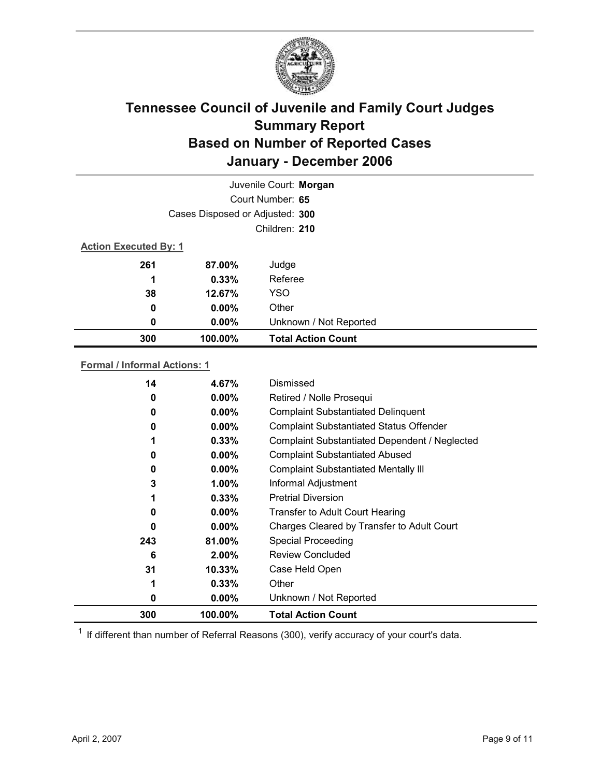

|                              | Juvenile Court: Morgan          |                           |  |  |
|------------------------------|---------------------------------|---------------------------|--|--|
|                              | Court Number: 65                |                           |  |  |
|                              | Cases Disposed or Adjusted: 300 |                           |  |  |
|                              | Children: 210                   |                           |  |  |
| <b>Action Executed By: 1</b> |                                 |                           |  |  |
| 261                          | 87.00%                          | Judge                     |  |  |
| 1                            | 0.33%                           | Referee                   |  |  |
| 38                           | 12.67%                          | <b>YSO</b>                |  |  |
| 0                            | $0.00\%$                        | Other                     |  |  |
| 0                            | $0.00\%$                        | Unknown / Not Reported    |  |  |
| 300                          | 100.00%                         | <b>Total Action Count</b> |  |  |

### **Formal / Informal Actions: 1**

| 14       | 4.67%     | Dismissed                                      |
|----------|-----------|------------------------------------------------|
| 0        | $0.00\%$  | Retired / Nolle Prosequi                       |
| 0        | $0.00\%$  | <b>Complaint Substantiated Delinquent</b>      |
| 0        | $0.00\%$  | <b>Complaint Substantiated Status Offender</b> |
|          | 0.33%     | Complaint Substantiated Dependent / Neglected  |
| $\Omega$ | $0.00\%$  | <b>Complaint Substantiated Abused</b>          |
| 0        | $0.00\%$  | <b>Complaint Substantiated Mentally III</b>    |
| 3        | $1.00\%$  | Informal Adjustment                            |
|          | 0.33%     | <b>Pretrial Diversion</b>                      |
| 0        | $0.00\%$  | <b>Transfer to Adult Court Hearing</b>         |
| $\Omega$ | $0.00\%$  | Charges Cleared by Transfer to Adult Court     |
| 243      | 81.00%    | <b>Special Proceeding</b>                      |
| 6        | $2.00\%$  | <b>Review Concluded</b>                        |
| 31       | $10.33\%$ | Case Held Open                                 |
| 1        | $0.33\%$  | Other                                          |
| 0        | $0.00\%$  | Unknown / Not Reported                         |
| 300      | 100.00%   | <b>Total Action Count</b>                      |

 $1$  If different than number of Referral Reasons (300), verify accuracy of your court's data.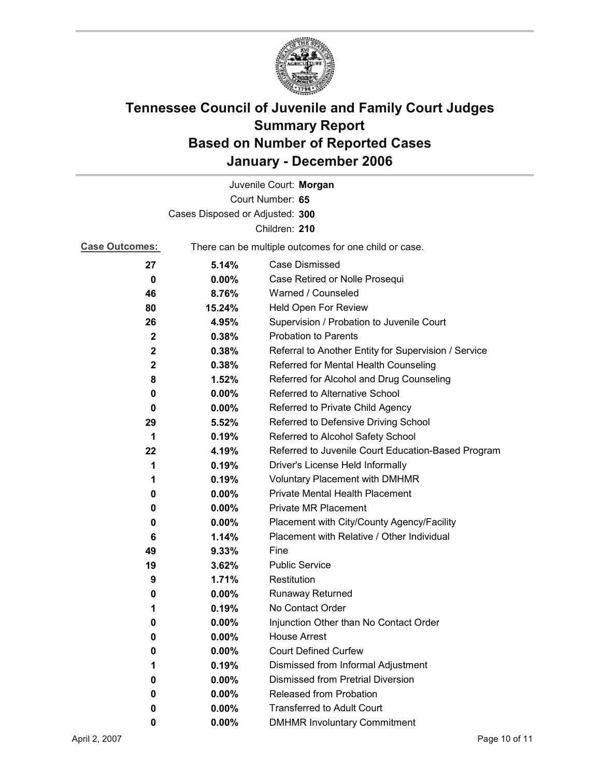

|                                 |                                                       | Juvenile Court: Morgan                               |
|---------------------------------|-------------------------------------------------------|------------------------------------------------------|
|                                 |                                                       | Court Number: 65                                     |
| Cases Disposed or Adjusted: 300 |                                                       |                                                      |
|                                 |                                                       | Children: 210                                        |
| <b>Case Outcomes:</b>           | There can be multiple outcomes for one child or case. |                                                      |
| 27                              | 5.14%                                                 | Case Dismissed                                       |
| $\bf{0}$                        | $0.00\%$                                              | Case Retired or Nolle Prosequi                       |
| 46                              | 8.76%                                                 | Warned / Counseled                                   |
| 80                              | 15.24%                                                | Held Open For Review                                 |
| 26                              | 4.95%                                                 | Supervision / Probation to Juvenile Court            |
| $\mathbf{2}$                    | 0.38%                                                 | <b>Probation to Parents</b>                          |
| $\mathbf{2}$                    | 0.38%                                                 | Referral to Another Entity for Supervision / Service |
| $\mathbf{2}$                    | 0.38%                                                 | Referred for Mental Health Counseling                |
| 8                               | 1.52%                                                 | Referred for Alcohol and Drug Counseling             |
| 0                               | $0.00\%$                                              | Referred to Alternative School                       |
| 0                               | $0.00\%$                                              | Referred to Private Child Agency                     |
| 29                              | 5.52%                                                 | Referred to Defensive Driving School                 |
| 1                               | 0.19%                                                 | Referred to Alcohol Safety School                    |
| 22                              | 4.19%                                                 | Referred to Juvenile Court Education-Based Program   |
| 1                               | 0.19%                                                 | Driver's License Held Informally                     |
| 1                               | 0.19%                                                 | <b>Voluntary Placement with DMHMR</b>                |
| 0                               | $0.00\%$                                              | <b>Private Mental Health Placement</b>               |
| 0                               | 0.00%                                                 | <b>Private MR Placement</b>                          |
| 0                               | $0.00\%$                                              | Placement with City/County Agency/Facility           |
| 6                               | 1.14%                                                 | Placement with Relative / Other Individual           |
| 49                              | 9.33%                                                 | Fine                                                 |
| 19                              | 3.62%                                                 | <b>Public Service</b>                                |
| 9                               | 1.71%                                                 | Restitution                                          |
| 0                               | $0.00\%$                                              | Runaway Returned                                     |
| 1                               | 0.19%                                                 | No Contact Order                                     |
| U                               | 0.00%                                                 | Injunction Other than No Contact Order               |
| 0                               | 0.00%                                                 | <b>House Arrest</b>                                  |
| 0                               | $0.00\%$                                              | <b>Court Defined Curfew</b>                          |
| 1                               | 0.19%                                                 | Dismissed from Informal Adjustment                   |
| 0                               | $0.00\%$                                              | <b>Dismissed from Pretrial Diversion</b>             |
| 0                               | $0.00\%$                                              | Released from Probation                              |
| 0                               | $0.00\%$                                              | <b>Transferred to Adult Court</b>                    |
| 0                               | $0.00\%$                                              | <b>DMHMR Involuntary Commitment</b>                  |